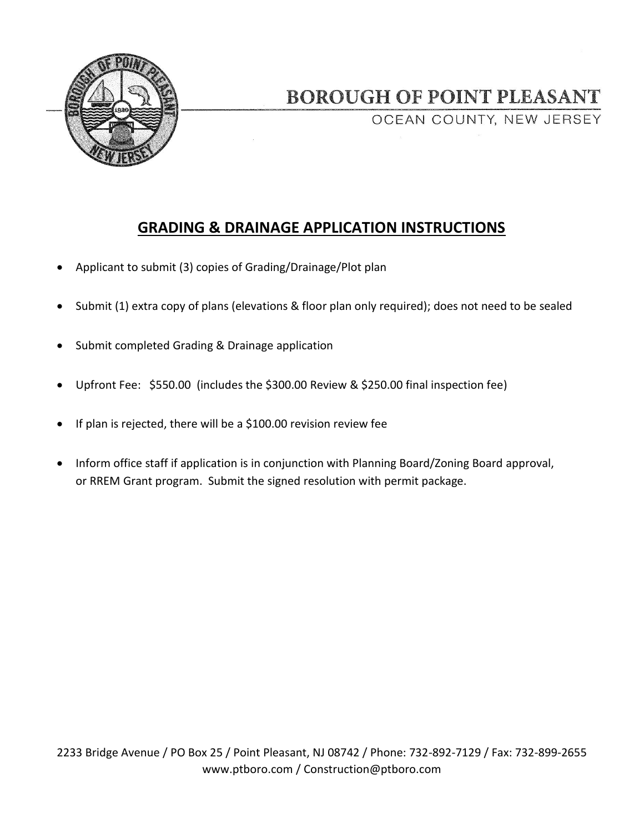

## **BOROUGH OF POINT PLEASANT**

OCEAN COUNTY, NEW JERSEY

## **GRADING & DRAINAGE APPLICATION INSTRUCTIONS**

- Applicant to submit (3) copies of Grading/Drainage/Plot plan
- Submit (1) extra copy of plans (elevations & floor plan only required); does not need to be sealed
- Submit completed Grading & Drainage application
- Upfront Fee: \$550.00 (includes the \$300.00 Review & \$250.00 final inspection fee)
- If plan is rejected, there will be a \$100.00 revision review fee
- Inform office staff if application is in conjunction with Planning Board/Zoning Board approval, or RREM Grant program. Submit the signed resolution with permit package.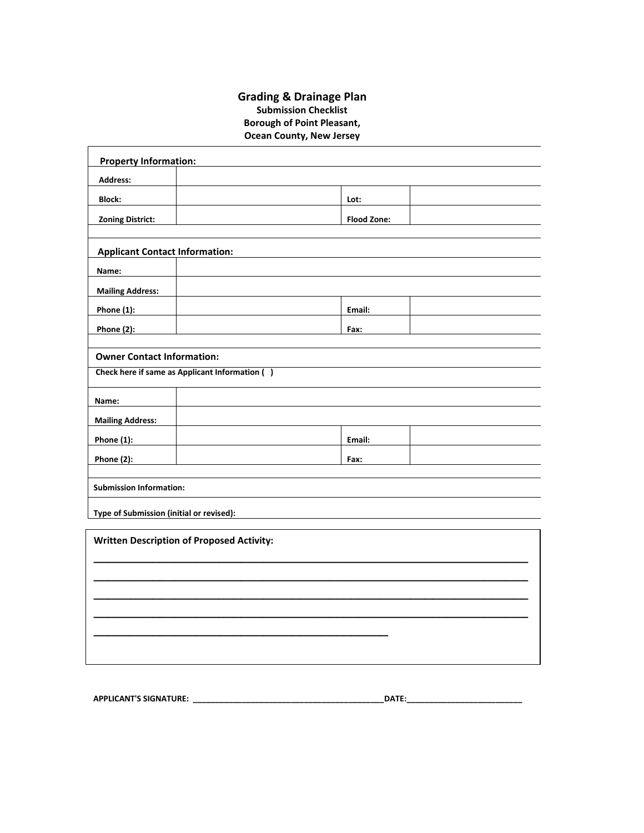## **Grading & Drainage Plan Submission Checklist Borough of Point Pleasant, Ocean County, New Jersey**

| <b>Property Information:</b>             |                                                  |                    |  |  |
|------------------------------------------|--------------------------------------------------|--------------------|--|--|
| <b>Address:</b>                          |                                                  |                    |  |  |
| <b>Block:</b>                            |                                                  | Lot:               |  |  |
| <b>Zoning District:</b>                  |                                                  | <b>Flood Zone:</b> |  |  |
|                                          |                                                  |                    |  |  |
| <b>Applicant Contact Information:</b>    |                                                  |                    |  |  |
| Name:                                    |                                                  |                    |  |  |
| <b>Mailing Address:</b>                  |                                                  |                    |  |  |
| Phone $(1)$ :                            |                                                  | Email:             |  |  |
| Phone $(2)$ :                            |                                                  | Fax:               |  |  |
| <b>Owner Contact Information:</b>        |                                                  |                    |  |  |
|                                          | Check here if same as Applicant Information ()   |                    |  |  |
|                                          |                                                  |                    |  |  |
| Name:                                    |                                                  |                    |  |  |
| <b>Mailing Address:</b>                  |                                                  |                    |  |  |
| <b>Phone (1):</b>                        |                                                  | Email:             |  |  |
| Phone (2):                               |                                                  | Fax:               |  |  |
| <b>Submission Information:</b>           |                                                  |                    |  |  |
|                                          |                                                  |                    |  |  |
| Type of Submission (initial or revised): |                                                  |                    |  |  |
|                                          | <b>Written Description of Proposed Activity:</b> |                    |  |  |
|                                          |                                                  |                    |  |  |
|                                          |                                                  |                    |  |  |
|                                          |                                                  |                    |  |  |
|                                          |                                                  |                    |  |  |
|                                          |                                                  |                    |  |  |
|                                          |                                                  |                    |  |  |
|                                          |                                                  |                    |  |  |
|                                          |                                                  |                    |  |  |

**APPLICANT'S SIGNATURE: \_\_\_\_\_\_\_\_\_\_\_\_\_\_\_\_\_\_\_\_\_\_\_\_\_\_\_\_\_\_\_\_\_\_\_\_\_\_\_\_\_\_\_DATE:\_\_\_\_\_\_\_\_\_\_\_\_\_\_\_\_\_\_\_\_\_\_\_\_\_\_** \_\_\_\_\_\_\_\_\_\_\_\_\_\_\_\_\_\_\_\_\_\_\_\_\_\_\_\_\_\_\_\_\_\_\_\_\_\_\_\_\_\_\_\_\_\_\_\_\_\_\_\_\_\_\_\_\_\_\_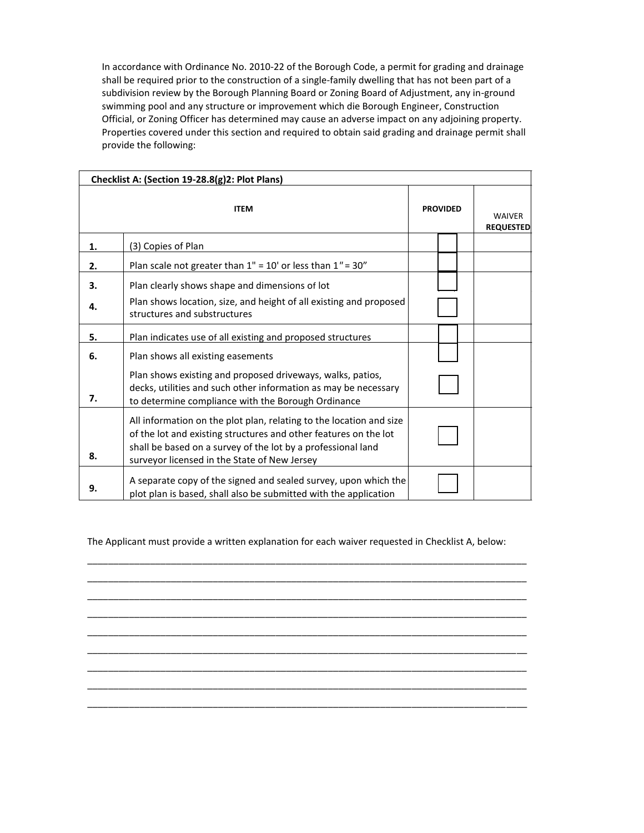In accordance with Ordinance No. 2010-22 of the Borough Code, a permit for grading and drainage shall be required prior to the construction of a single-family dwelling that has not been part of a subdivision review by the Borough Planning Board or Zoning Board of Adjustment, any in-ground swimming pool and any structure or improvement which die Borough Engineer, Construction Official, or Zoning Officer has determined may cause an adverse impact on any adjoining property. Properties covered under this section and required to obtain said grading and drainage permit shall provide the following:

| Checklist A: (Section 19-28.8(g)2: Plot Plans) |                                                                                                                                                                                                                                                         |                 |  |                                   |  |
|------------------------------------------------|---------------------------------------------------------------------------------------------------------------------------------------------------------------------------------------------------------------------------------------------------------|-----------------|--|-----------------------------------|--|
| <b>ITEM</b>                                    |                                                                                                                                                                                                                                                         | <b>PROVIDED</b> |  | <b>WAIVER</b><br><b>REQUESTED</b> |  |
| 1.                                             | (3) Copies of Plan                                                                                                                                                                                                                                      |                 |  |                                   |  |
| 2.                                             | Plan scale not greater than $1'' = 10'$ or less than $1'' = 30''$                                                                                                                                                                                       |                 |  |                                   |  |
| 3.                                             | Plan clearly shows shape and dimensions of lot                                                                                                                                                                                                          |                 |  |                                   |  |
| 4.                                             | Plan shows location, size, and height of all existing and proposed<br>structures and substructures                                                                                                                                                      |                 |  |                                   |  |
| 5.                                             | Plan indicates use of all existing and proposed structures                                                                                                                                                                                              |                 |  |                                   |  |
| 6.                                             | Plan shows all existing easements                                                                                                                                                                                                                       |                 |  |                                   |  |
| 7.                                             | Plan shows existing and proposed driveways, walks, patios,<br>decks, utilities and such other information as may be necessary<br>to determine compliance with the Borough Ordinance                                                                     |                 |  |                                   |  |
| 8.                                             | All information on the plot plan, relating to the location and size<br>of the lot and existing structures and other features on the lot<br>shall be based on a survey of the lot by a professional land<br>surveyor licensed in the State of New Jersey |                 |  |                                   |  |
| 9.                                             | A separate copy of the signed and sealed survey, upon which the<br>plot plan is based, shall also be submitted with the application                                                                                                                     |                 |  |                                   |  |

The Applicant must provide a written explanation for each waiver requested in Checklist A, below:

\_\_\_\_\_\_\_\_\_\_\_\_\_\_\_\_\_\_\_\_\_\_\_\_\_\_\_\_\_\_\_\_\_\_\_\_\_\_\_\_\_\_\_\_\_\_\_\_\_\_\_\_\_\_\_\_\_\_\_\_\_\_\_\_\_\_\_\_\_\_\_\_\_\_\_\_\_\_\_\_\_\_\_\_ \_\_\_\_\_\_\_\_\_\_\_\_\_\_\_\_\_\_\_\_\_\_\_\_\_\_\_\_\_\_\_\_\_\_\_\_\_\_\_\_\_\_\_\_\_\_\_\_\_\_\_\_\_\_\_\_\_\_\_\_\_\_\_\_\_\_\_\_\_\_\_\_\_\_\_\_\_\_\_\_\_\_\_\_ \_\_\_\_\_\_\_\_\_\_\_\_\_\_\_\_\_\_\_\_\_\_\_\_\_\_\_\_\_\_\_\_\_\_\_\_\_\_\_\_\_\_\_\_\_\_\_\_\_\_\_\_\_\_\_\_\_\_\_\_\_\_\_\_\_\_\_\_\_\_\_\_\_\_\_\_\_\_\_\_\_\_\_\_ \_\_\_\_\_\_\_\_\_\_\_\_\_\_\_\_\_\_\_\_\_\_\_\_\_\_\_\_\_\_\_\_\_\_\_\_\_\_\_\_\_\_\_\_\_\_\_\_\_\_\_\_\_\_\_\_\_\_\_\_\_\_\_\_\_\_\_\_\_\_\_\_\_\_\_\_\_\_\_\_\_\_\_\_ \_\_\_\_\_\_\_\_\_\_\_\_\_\_\_\_\_\_\_\_\_\_\_\_\_\_\_\_\_\_\_\_\_\_\_\_\_\_\_\_\_\_\_\_\_\_\_\_\_\_\_\_\_\_\_\_\_\_\_\_\_\_\_\_\_\_\_\_\_\_\_\_\_\_\_\_\_\_\_\_\_\_\_\_ \_\_\_\_\_\_\_\_\_\_\_\_\_\_\_\_\_\_\_\_\_\_\_\_\_\_\_\_\_\_\_\_\_\_\_\_\_\_\_\_\_\_\_\_\_\_\_\_\_\_\_\_\_\_\_\_\_\_\_\_\_\_\_\_\_\_\_\_\_\_\_\_\_\_\_\_\_\_\_\_\_\_\_\_ \_\_\_\_\_\_\_\_\_\_\_\_\_\_\_\_\_\_\_\_\_\_\_\_\_\_\_\_\_\_\_\_\_\_\_\_\_\_\_\_\_\_\_\_\_\_\_\_\_\_\_\_\_\_\_\_\_\_\_\_\_\_\_\_\_\_\_\_\_\_\_\_\_\_\_\_\_\_\_\_\_\_\_\_ \_\_\_\_\_\_\_\_\_\_\_\_\_\_\_\_\_\_\_\_\_\_\_\_\_\_\_\_\_\_\_\_\_\_\_\_\_\_\_\_\_\_\_\_\_\_\_\_\_\_\_\_\_\_\_\_\_\_\_\_\_\_\_\_\_\_\_\_\_\_\_\_\_\_\_\_\_\_\_\_\_\_\_\_ \_\_\_\_\_\_\_\_\_\_\_\_\_\_\_\_\_\_\_\_\_\_\_\_\_\_\_\_\_\_\_\_\_\_\_\_\_\_\_\_\_\_\_\_\_\_\_\_\_\_\_\_\_\_\_\_\_\_\_\_\_\_\_\_\_\_\_\_\_\_\_\_\_\_\_\_\_\_\_\_\_\_\_\_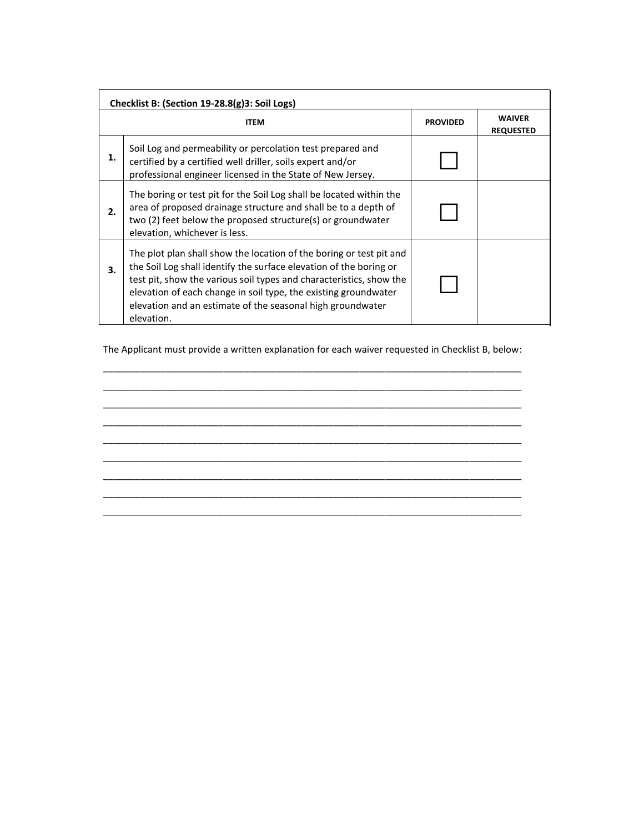| Checklist B: (Section 19-28.8(g)3: Soil Logs) |                                                                                                                                                                                                                                                                                                                                                                 |                 |                                   |  |
|-----------------------------------------------|-----------------------------------------------------------------------------------------------------------------------------------------------------------------------------------------------------------------------------------------------------------------------------------------------------------------------------------------------------------------|-----------------|-----------------------------------|--|
|                                               | <b>ITEM</b>                                                                                                                                                                                                                                                                                                                                                     | <b>PROVIDED</b> | <b>WAIVER</b><br><b>REQUESTED</b> |  |
| 1.                                            | Soil Log and permeability or percolation test prepared and<br>certified by a certified well driller, soils expert and/or<br>professional engineer licensed in the State of New Jersey.                                                                                                                                                                          |                 |                                   |  |
| 2.                                            | The boring or test pit for the Soil Log shall be located within the<br>area of proposed drainage structure and shall be to a depth of<br>two (2) feet below the proposed structure(s) or groundwater<br>elevation, whichever is less.                                                                                                                           |                 |                                   |  |
| 3.                                            | The plot plan shall show the location of the boring or test pit and<br>the Soil Log shall identify the surface elevation of the boring or<br>test pit, show the various soil types and characteristics, show the<br>elevation of each change in soil type, the existing groundwater<br>elevation and an estimate of the seasonal high groundwater<br>elevation. |                 |                                   |  |

The Applicant must provide a written explanation for each waiver requested in Checklist B, below: \_\_\_\_\_\_\_\_\_\_\_\_\_\_\_\_\_\_\_\_\_\_\_\_\_\_\_\_\_\_\_\_\_\_\_\_\_\_\_\_\_\_\_\_\_\_\_\_\_\_\_\_\_\_\_\_\_\_\_\_\_\_\_\_\_\_\_\_\_\_\_\_\_\_\_\_\_\_\_\_

\_\_\_\_\_\_\_\_\_\_\_\_\_\_\_\_\_\_\_\_\_\_\_\_\_\_\_\_\_\_\_\_\_\_\_\_\_\_\_\_\_\_\_\_\_\_\_\_\_\_\_\_\_\_\_\_\_\_\_\_\_\_\_\_\_\_\_\_\_\_\_\_\_\_\_\_\_\_\_\_ \_\_\_\_\_\_\_\_\_\_\_\_\_\_\_\_\_\_\_\_\_\_\_\_\_\_\_\_\_\_\_\_\_\_\_\_\_\_\_\_\_\_\_\_\_\_\_\_\_\_\_\_\_\_\_\_\_\_\_\_\_\_\_\_\_\_\_\_\_\_\_\_\_\_\_\_\_\_\_\_ \_\_\_\_\_\_\_\_\_\_\_\_\_\_\_\_\_\_\_\_\_\_\_\_\_\_\_\_\_\_\_\_\_\_\_\_\_\_\_\_\_\_\_\_\_\_\_\_\_\_\_\_\_\_\_\_\_\_\_\_\_\_\_\_\_\_\_\_\_\_\_\_\_\_\_\_\_\_\_\_ \_\_\_\_\_\_\_\_\_\_\_\_\_\_\_\_\_\_\_\_\_\_\_\_\_\_\_\_\_\_\_\_\_\_\_\_\_\_\_\_\_\_\_\_\_\_\_\_\_\_\_\_\_\_\_\_\_\_\_\_\_\_\_\_\_\_\_\_\_\_\_\_\_\_\_\_\_\_\_\_ \_\_\_\_\_\_\_\_\_\_\_\_\_\_\_\_\_\_\_\_\_\_\_\_\_\_\_\_\_\_\_\_\_\_\_\_\_\_\_\_\_\_\_\_\_\_\_\_\_\_\_\_\_\_\_\_\_\_\_\_\_\_\_\_\_\_\_\_\_\_\_\_\_\_\_\_\_\_\_\_ \_\_\_\_\_\_\_\_\_\_\_\_\_\_\_\_\_\_\_\_\_\_\_\_\_\_\_\_\_\_\_\_\_\_\_\_\_\_\_\_\_\_\_\_\_\_\_\_\_\_\_\_\_\_\_\_\_\_\_\_\_\_\_\_\_\_\_\_\_\_\_\_\_\_\_\_\_\_\_\_ \_\_\_\_\_\_\_\_\_\_\_\_\_\_\_\_\_\_\_\_\_\_\_\_\_\_\_\_\_\_\_\_\_\_\_\_\_\_\_\_\_\_\_\_\_\_\_\_\_\_\_\_\_\_\_\_\_\_\_\_\_\_\_\_\_\_\_\_\_\_\_\_\_\_\_\_\_\_\_\_

\_\_\_\_\_\_\_\_\_\_\_\_\_\_\_\_\_\_\_\_\_\_\_\_\_\_\_\_\_\_\_\_\_\_\_\_\_\_\_\_\_\_\_\_\_\_\_\_\_\_\_\_\_\_\_\_\_\_\_\_\_\_\_\_\_\_\_\_\_\_\_\_\_\_\_\_\_\_\_\_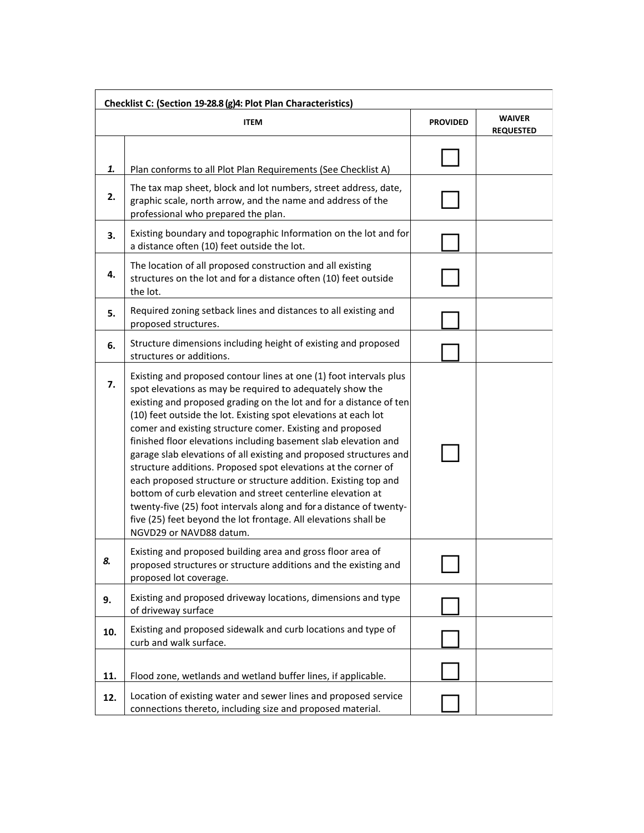| Checklist C: (Section 19-28.8 (g)4: Plot Plan Characteristics) |                                                                                                                                                                                                                                                                                                                                                                                                                                                                                                                                                                                                                                                                                                                                                                                                                                                         |                 |                                   |  |
|----------------------------------------------------------------|---------------------------------------------------------------------------------------------------------------------------------------------------------------------------------------------------------------------------------------------------------------------------------------------------------------------------------------------------------------------------------------------------------------------------------------------------------------------------------------------------------------------------------------------------------------------------------------------------------------------------------------------------------------------------------------------------------------------------------------------------------------------------------------------------------------------------------------------------------|-----------------|-----------------------------------|--|
|                                                                | <b>ITEM</b>                                                                                                                                                                                                                                                                                                                                                                                                                                                                                                                                                                                                                                                                                                                                                                                                                                             | <b>PROVIDED</b> | <b>WAIVER</b><br><b>REQUESTED</b> |  |
| 1.                                                             | Plan conforms to all Plot Plan Requirements (See Checklist A)                                                                                                                                                                                                                                                                                                                                                                                                                                                                                                                                                                                                                                                                                                                                                                                           |                 |                                   |  |
| 2.                                                             | The tax map sheet, block and lot numbers, street address, date,<br>graphic scale, north arrow, and the name and address of the<br>professional who prepared the plan.                                                                                                                                                                                                                                                                                                                                                                                                                                                                                                                                                                                                                                                                                   |                 |                                   |  |
| 3.                                                             | Existing boundary and topographic Information on the lot and for<br>a distance often (10) feet outside the lot.                                                                                                                                                                                                                                                                                                                                                                                                                                                                                                                                                                                                                                                                                                                                         |                 |                                   |  |
| 4.                                                             | The location of all proposed construction and all existing<br>structures on the lot and for a distance often (10) feet outside<br>the lot.                                                                                                                                                                                                                                                                                                                                                                                                                                                                                                                                                                                                                                                                                                              |                 |                                   |  |
| 5.                                                             | Required zoning setback lines and distances to all existing and<br>proposed structures.                                                                                                                                                                                                                                                                                                                                                                                                                                                                                                                                                                                                                                                                                                                                                                 |                 |                                   |  |
| 6.                                                             | Structure dimensions including height of existing and proposed<br>structures or additions.                                                                                                                                                                                                                                                                                                                                                                                                                                                                                                                                                                                                                                                                                                                                                              |                 |                                   |  |
| 7.                                                             | Existing and proposed contour lines at one (1) foot intervals plus<br>spot elevations as may be required to adequately show the<br>existing and proposed grading on the lot and for a distance of ten<br>(10) feet outside the lot. Existing spot elevations at each lot<br>comer and existing structure comer. Existing and proposed<br>finished floor elevations including basement slab elevation and<br>garage slab elevations of all existing and proposed structures and<br>structure additions. Proposed spot elevations at the corner of<br>each proposed structure or structure addition. Existing top and<br>bottom of curb elevation and street centerline elevation at<br>twenty-five (25) foot intervals along and for a distance of twenty-<br>five (25) feet beyond the lot frontage. All elevations shall be<br>NGVD29 or NAVD88 datum. |                 |                                   |  |
| 8.                                                             | Existing and proposed building area and gross floor area of<br>proposed structures or structure additions and the existing and<br>proposed lot coverage.                                                                                                                                                                                                                                                                                                                                                                                                                                                                                                                                                                                                                                                                                                |                 |                                   |  |
| 9.                                                             | Existing and proposed driveway locations, dimensions and type<br>of driveway surface                                                                                                                                                                                                                                                                                                                                                                                                                                                                                                                                                                                                                                                                                                                                                                    |                 |                                   |  |
| 10.                                                            | Existing and proposed sidewalk and curb locations and type of<br>curb and walk surface.                                                                                                                                                                                                                                                                                                                                                                                                                                                                                                                                                                                                                                                                                                                                                                 |                 |                                   |  |
| 11.                                                            | Flood zone, wetlands and wetland buffer lines, if applicable.                                                                                                                                                                                                                                                                                                                                                                                                                                                                                                                                                                                                                                                                                                                                                                                           |                 |                                   |  |
| 12.                                                            | Location of existing water and sewer lines and proposed service<br>connections thereto, including size and proposed material.                                                                                                                                                                                                                                                                                                                                                                                                                                                                                                                                                                                                                                                                                                                           |                 |                                   |  |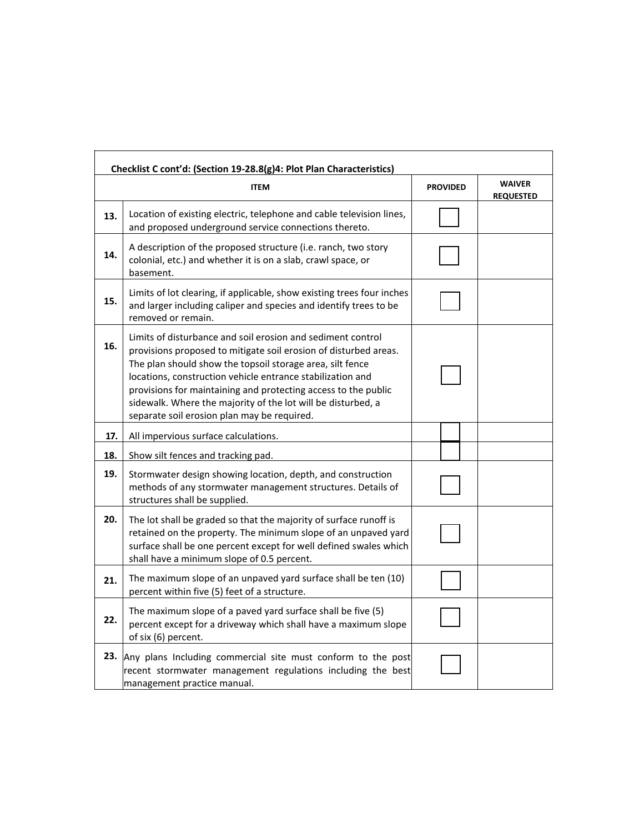| Checklist C cont'd: (Section 19-28.8(g)4: Plot Plan Characteristics) |                                                                                                                                                                                                                                                                                                                                                                                                                                             |                 |                                   |  |  |
|----------------------------------------------------------------------|---------------------------------------------------------------------------------------------------------------------------------------------------------------------------------------------------------------------------------------------------------------------------------------------------------------------------------------------------------------------------------------------------------------------------------------------|-----------------|-----------------------------------|--|--|
|                                                                      | <b>ITEM</b>                                                                                                                                                                                                                                                                                                                                                                                                                                 | <b>PROVIDED</b> | <b>WAIVER</b><br><b>REQUESTED</b> |  |  |
| 13.                                                                  | Location of existing electric, telephone and cable television lines,<br>and proposed underground service connections thereto.                                                                                                                                                                                                                                                                                                               |                 |                                   |  |  |
| 14.                                                                  | A description of the proposed structure (i.e. ranch, two story<br>colonial, etc.) and whether it is on a slab, crawl space, or<br>basement.                                                                                                                                                                                                                                                                                                 |                 |                                   |  |  |
| 15.                                                                  | Limits of lot clearing, if applicable, show existing trees four inches<br>and larger including caliper and species and identify trees to be<br>removed or remain.                                                                                                                                                                                                                                                                           |                 |                                   |  |  |
| 16.                                                                  | Limits of disturbance and soil erosion and sediment control<br>provisions proposed to mitigate soil erosion of disturbed areas.<br>The plan should show the topsoil storage area, silt fence<br>locations, construction vehicle entrance stabilization and<br>provisions for maintaining and protecting access to the public<br>sidewalk. Where the majority of the lot will be disturbed, a<br>separate soil erosion plan may be required. |                 |                                   |  |  |
| 17.                                                                  | All impervious surface calculations.                                                                                                                                                                                                                                                                                                                                                                                                        |                 |                                   |  |  |
| 18.                                                                  | Show silt fences and tracking pad.                                                                                                                                                                                                                                                                                                                                                                                                          |                 |                                   |  |  |
| 19.                                                                  | Stormwater design showing location, depth, and construction<br>methods of any stormwater management structures. Details of<br>structures shall be supplied.                                                                                                                                                                                                                                                                                 |                 |                                   |  |  |
| 20.                                                                  | The lot shall be graded so that the majority of surface runoff is<br>retained on the property. The minimum slope of an unpaved yard<br>surface shall be one percent except for well defined swales which<br>shall have a minimum slope of 0.5 percent.                                                                                                                                                                                      |                 |                                   |  |  |
| 21.                                                                  | The maximum slope of an unpaved yard surface shall be ten (10)<br>percent within five (5) feet of a structure.                                                                                                                                                                                                                                                                                                                              |                 |                                   |  |  |
| 22.                                                                  | The maximum slope of a paved yard surface shall be five (5)<br>percent except for a driveway which shall have a maximum slope<br>of six (6) percent.                                                                                                                                                                                                                                                                                        |                 |                                   |  |  |
| 23.                                                                  | Any plans Including commercial site must conform to the post<br>recent stormwater management regulations including the best<br>management practice manual.                                                                                                                                                                                                                                                                                  |                 |                                   |  |  |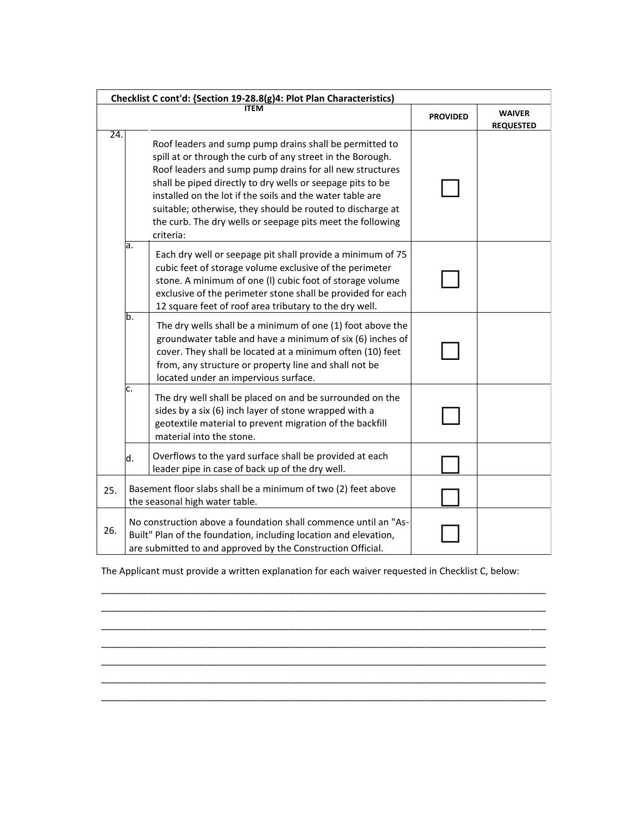| Checklist C cont'd: {Section 19-28.8(g)4: Plot Plan Characteristics} |                                                                                                                                                                                                                                                                                                                                                                                                                                                       |                 |                                   |  |
|----------------------------------------------------------------------|-------------------------------------------------------------------------------------------------------------------------------------------------------------------------------------------------------------------------------------------------------------------------------------------------------------------------------------------------------------------------------------------------------------------------------------------------------|-----------------|-----------------------------------|--|
|                                                                      | ITEM                                                                                                                                                                                                                                                                                                                                                                                                                                                  | <b>PROVIDED</b> | <b>WAIVER</b><br><b>REQUESTED</b> |  |
| 24.                                                                  | Roof leaders and sump pump drains shall be permitted to<br>spill at or through the curb of any street in the Borough.<br>Roof leaders and sump pump drains for all new structures<br>shall be piped directly to dry wells or seepage pits to be<br>installed on the lot if the soils and the water table are<br>suitable; otherwise, they should be routed to discharge at<br>the curb. The dry wells or seepage pits meet the following<br>criteria: |                 |                                   |  |
|                                                                      | a.<br>Each dry well or seepage pit shall provide a minimum of 75<br>cubic feet of storage volume exclusive of the perimeter<br>stone. A minimum of one (I) cubic foot of storage volume<br>exclusive of the perimeter stone shall be provided for each<br>12 square feet of roof area tributary to the dry well.                                                                                                                                      |                 |                                   |  |
|                                                                      | b.<br>The dry wells shall be a minimum of one (1) foot above the<br>groundwater table and have a minimum of six (6) inches of<br>cover. They shall be located at a minimum often (10) feet<br>from, any structure or property line and shall not be<br>located under an impervious surface.                                                                                                                                                           |                 |                                   |  |
|                                                                      | c.<br>The dry well shall be placed on and be surrounded on the<br>sides by a six (6) inch layer of stone wrapped with a<br>geotextile material to prevent migration of the backfill<br>material into the stone.                                                                                                                                                                                                                                       |                 |                                   |  |
|                                                                      | Overflows to the yard surface shall be provided at each<br>d.<br>leader pipe in case of back up of the dry well.                                                                                                                                                                                                                                                                                                                                      |                 |                                   |  |
| 25.                                                                  | Basement floor slabs shall be a minimum of two (2) feet above<br>the seasonal high water table.                                                                                                                                                                                                                                                                                                                                                       |                 |                                   |  |
| 26.                                                                  | No construction above a foundation shall commence until an "As-<br>Built" Plan of the foundation, including location and elevation,<br>are submitted to and approved by the Construction Official.                                                                                                                                                                                                                                                    |                 |                                   |  |

The Applicant must provide a written explanation for each waiver requested in Checklist C, below:

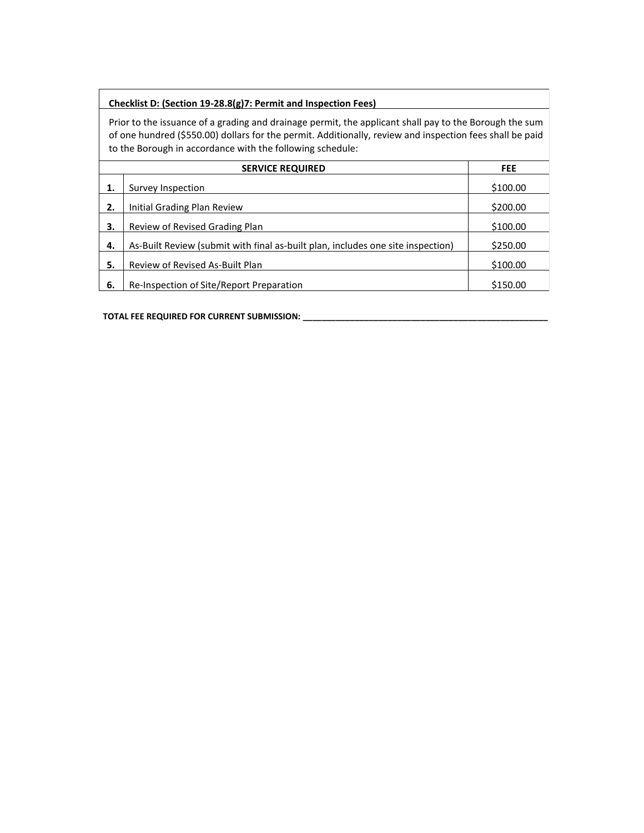## **Checklist D: (Section 19-28.8(g)7: Permit and Inspection Fees)**

Prior to the issuance of a grading and drainage permit, the applicant shall pay to the Borough the sum of one hundred (\$550.00) dollars for the permit. Additionally, review and inspection fees shall be paid to the Borough in accordance with the following schedule:

|     | <b>FEE</b>                                                                      |          |
|-----|---------------------------------------------------------------------------------|----------|
|     | Survey Inspection                                                               | \$100.00 |
| 2.  | Initial Grading Plan Review                                                     | \$200.00 |
| З.  | Review of Revised Grading Plan                                                  | \$100.00 |
| 4.  | As-Built Review (submit with final as-built plan, includes one site inspection) | \$250.00 |
| 5.  | Review of Revised As-Built Plan                                                 | \$100.00 |
| -6. | Re-Inspection of Site/Report Preparation                                        | \$150.00 |

**TOTAL FEE REQUIRED FOR CURRENT SUBMISSION: \_\_\_\_\_\_\_\_\_\_\_\_\_\_\_\_\_\_\_\_\_\_\_\_\_\_\_\_\_\_\_\_\_\_\_\_\_\_\_\_\_\_\_\_\_\_\_\_\_\_\_\_**